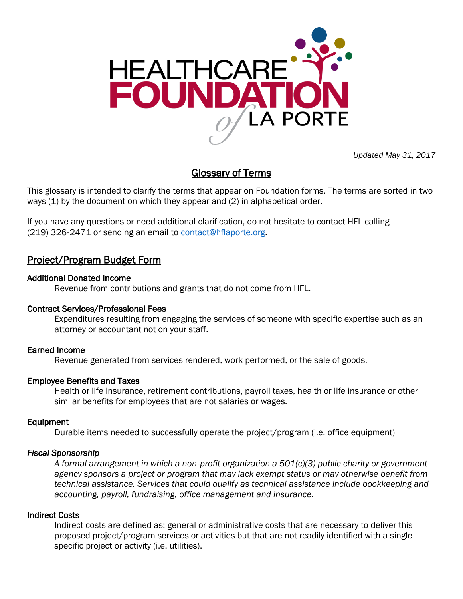

*Updated May 31, 2017*

# Glossary of Terms

This glossary is intended to clarify the terms that appear on Foundation forms. The terms are sorted in two ways (1) by the document on which they appear and (2) in alphabetical order.

If you have any questions or need additional clarification, do not hesitate to contact HFL calling (219) 326-2471 or sending an email to [contact@hflaporte.org.](mailto:contact@hflaporte.org)

# Project/Program Budget Form

# Additional Donated Income

Revenue from contributions and grants that do not come from HFL.

# Contract Services/Professional Fees

Expenditures resulting from engaging the services of someone with specific expertise such as an attorney or accountant not on your staff.

# Earned Income

Revenue generated from services rendered, work performed, or the sale of goods.

# Employee Benefits and Taxes

Health or life insurance, retirement contributions, payroll taxes, health or life insurance or other similar benefits for employees that are not salaries or wages.

# Equipment

Durable items needed to successfully operate the project/program (i.e. office equipment)

# *Fiscal Sponsorship*

*A formal arrangement in which a non*‐*profit organization a 501(c)(3) public charity or government agency sponsors a project or program that may lack exempt status or may otherwise benefit from technical assistance. Services that could qualify as technical assistance include bookkeeping and accounting, payroll, fundraising, office management and insurance.*

# Indirect Costs

Indirect costs are defined as: general or administrative costs that are necessary to deliver this proposed project/program services or activities but that are not readily identified with a single specific project or activity (i.e. utilities).